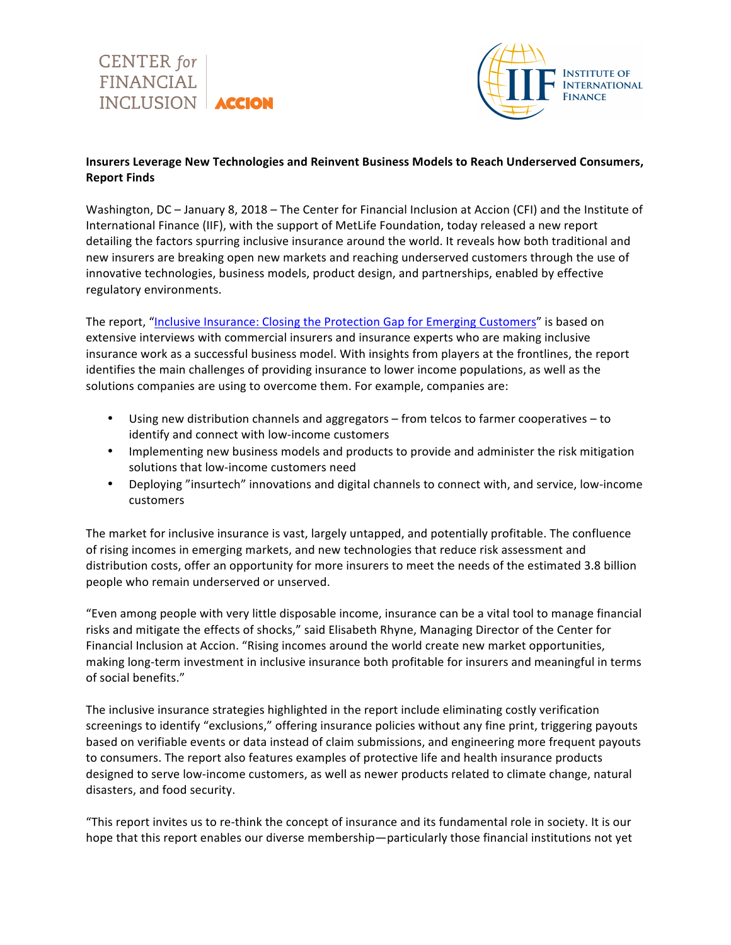



## **Insurers Leverage New Technologies and Reinvent Business Models to Reach Underserved Consumers, Report Finds**

Washington, DC – January 8, 2018 – The Center for Financial Inclusion at Accion (CFI) and the Institute of International Finance (IIF), with the support of MetLife Foundation, today released a new report detailing the factors spurring inclusive insurance around the world. It reveals how both traditional and new insurers are breaking open new markets and reaching underserved customers through the use of innovative technologies, business models, product design, and partnerships, enabled by effective regulatory environments.

The report, "Inclusive Insurance: Closing the Protection Gap for Emerging Customers" is based on extensive interviews with commercial insurers and insurance experts who are making inclusive insurance work as a successful business model. With insights from players at the frontlines, the report identifies the main challenges of providing insurance to lower income populations, as well as the solutions companies are using to overcome them. For example, companies are:

- Using new distribution channels and aggregators from telcos to farmer cooperatives to identify and connect with low-income customers
- Implementing new business models and products to provide and administer the risk mitigation solutions that low-income customers need
- Deploying "insurtech" innovations and digital channels to connect with, and service, low-income customers

The market for inclusive insurance is vast, largely untapped, and potentially profitable. The confluence of rising incomes in emerging markets, and new technologies that reduce risk assessment and distribution costs, offer an opportunity for more insurers to meet the needs of the estimated 3.8 billion people who remain underserved or unserved.

"Even among people with very little disposable income, insurance can be a vital tool to manage financial risks and mitigate the effects of shocks," said Elisabeth Rhyne, Managing Director of the Center for Financial Inclusion at Accion. "Rising incomes around the world create new market opportunities, making long-term investment in inclusive insurance both profitable for insurers and meaningful in terms of social benefits."

The inclusive insurance strategies highlighted in the report include eliminating costly verification screenings to identify "exclusions," offering insurance policies without any fine print, triggering payouts based on verifiable events or data instead of claim submissions, and engineering more frequent payouts to consumers. The report also features examples of protective life and health insurance products designed to serve low-income customers, as well as newer products related to climate change, natural disasters, and food security.

"This report invites us to re-think the concept of insurance and its fundamental role in society. It is our hope that this report enables our diverse membership—particularly those financial institutions not yet